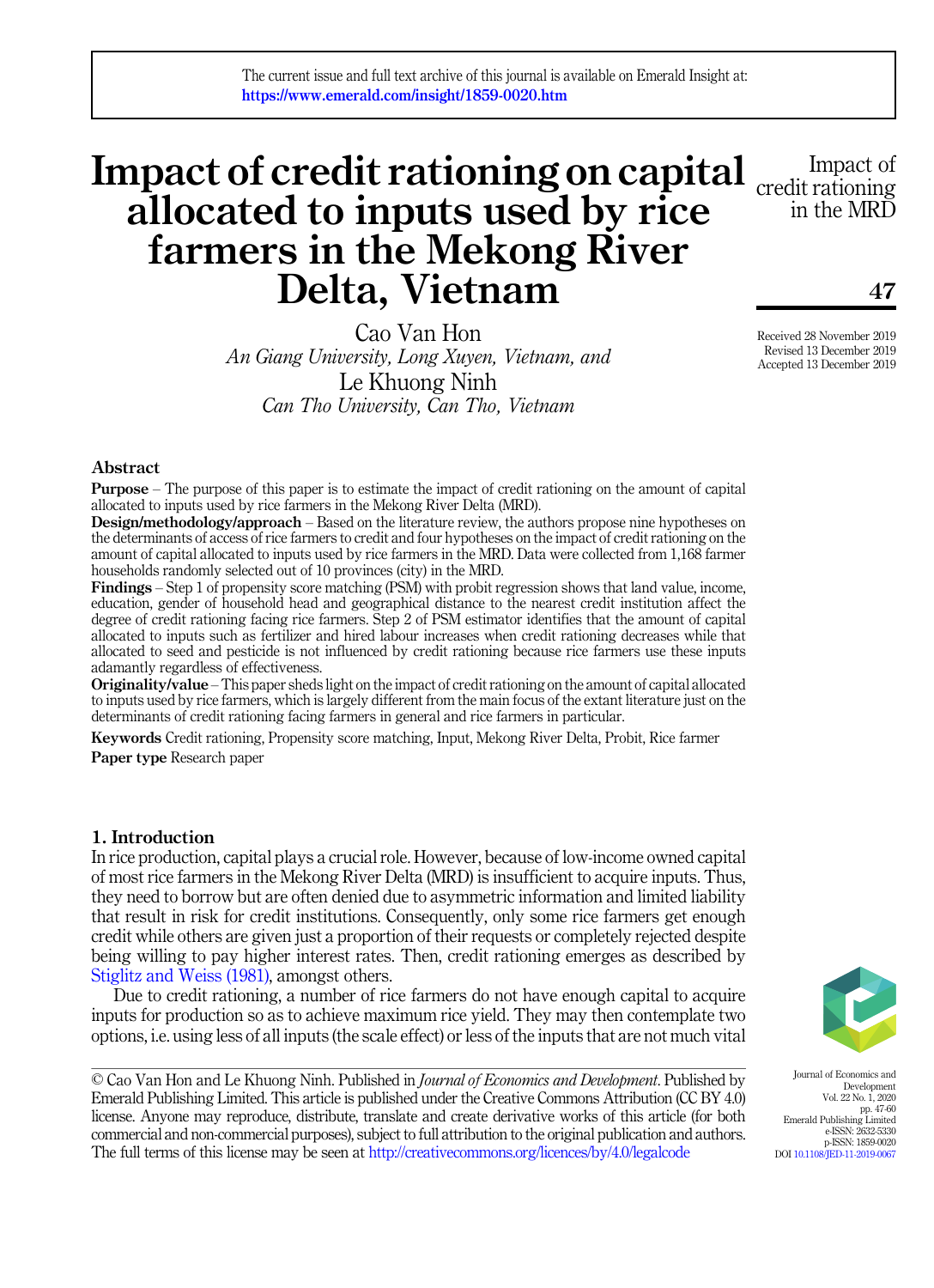# Impact of credit rationing on capital  $\frac{\text{Im} \text{pact of}}{\text{credit rational}}}$ allocated to inputs used by rice farmers in the Mekong River Delta, Vietnam

Cao Van Hon An Giang University, Long Xuyen, Vietnam, and Le Khuong Ninh Can Tho University, Can Tho, Vietnam



47

Received 28 November 2019 Revised 13 December 2019 Accepted 13 December 2019

# Abstract

Purpose – The purpose of this paper is to estimate the impact of credit rationing on the amount of capital allocated to inputs used by rice farmers in the Mekong River Delta (MRD).

Design/methodology/approach – Based on the literature review, the authors propose nine hypotheses on the determinants of access of rice farmers to credit and four hypotheses on the impact of credit rationing on the amount of capital allocated to inputs used by rice farmers in the MRD. Data were collected from 1,168 farmer households randomly selected out of 10 provinces (city) in the MRD.

Findings – Step 1 of propensity score matching (PSM) with probit regression shows that land value, income, education, gender of household head and geographical distance to the nearest credit institution affect the degree of credit rationing facing rice farmers. Step 2 of PSM estimator identifies that the amount of capital allocated to inputs such as fertilizer and hired labour increases when credit rationing decreases while that allocated to seed and pesticide is not influenced by credit rationing because rice farmers use these inputs adamantly regardless of effectiveness.

Originality/value – This paper sheds light on the impact of credit rationing on the amount of capital allocated to inputs used by rice farmers, which is largely different from the main focus of the extant literature just on the determinants of credit rationing facing farmers in general and rice farmers in particular.

Keywords Credit rationing, Propensity score matching, Input, Mekong River Delta, Probit, Rice farmer Paper type Research paper

# <span id="page-0-0"></span>1. Introduction

In rice production, capital plays a crucial role. However, because of low-income owned capital of most rice farmers in the Mekong River Delta (MRD) is insufficient to acquire inputs. Thus, they need to borrow but are often denied due to asymmetric information and limited liability that result in risk for credit institutions. Consequently, only some rice farmers get enough credit while others are given just a proportion of their requests or completely rejected despite being willing to pay higher interest rates. Then, credit rationing emerges as described by [Stiglitz and Weiss \(1981\)](#page-13-0), amongst others.

Due to credit rationing, a number of rice farmers do not have enough capital to acquire inputs for production so as to achieve maximum rice yield. They may then contemplate two options, i.e. using less of all inputs (the scale effect) or less of the inputs that are not much vital

© Cao Van Hon and Le Khuong Ninh. Published in Journal of Economics and Development. Published by Emerald Publishing Limited. This article is published under the Creative Commons Attribution (CC BY 4.0) license. Anyone may reproduce, distribute, translate and create derivative works of this article (for both commercial and non-commercial purposes), subject to full attribution to the original publication and authors. The full terms of this license may be seen at <http://creativecommons.org/licences/by/4.0/legalcode>



Journal of Economics and Development Vol. 22 No. 1, 2020 pp. 47-60 Emerald Publishing Limited e-ISSN: 2632-5330 p-ISSN: 1859-0020 DOI [10.1108/JED-11-2019-0067](https://doi.org/10.1108/JED-11-2019-0067)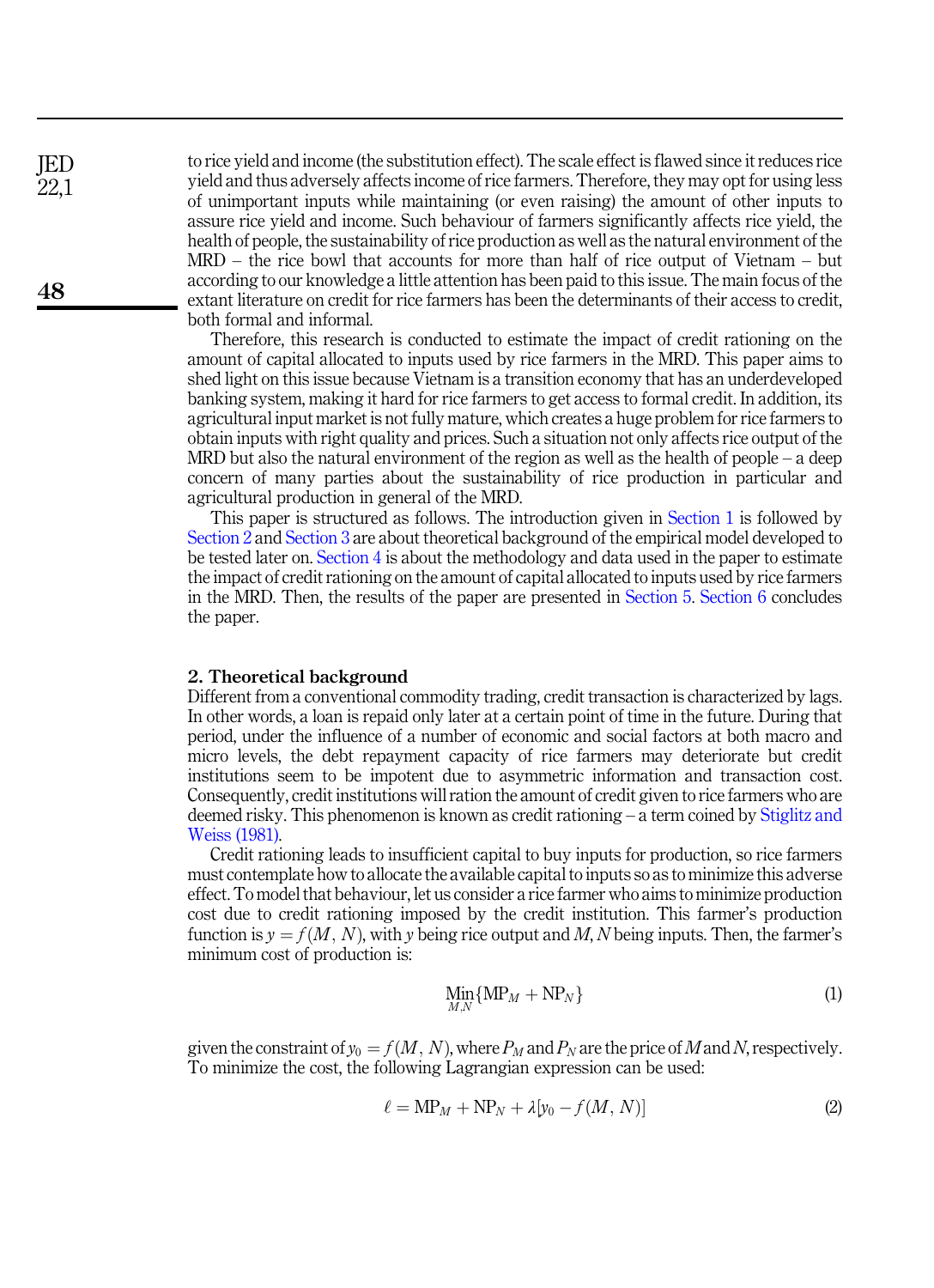to rice yield and income (the substitution effect). The scale effect is flawed since it reduces rice yield and thus adversely affects income of rice farmers. Therefore, they may opt for using less of unimportant inputs while maintaining (or even raising) the amount of other inputs to assure rice yield and income. Such behaviour of farmers significantly affects rice yield, the health of people, the sustainability of rice production as well as the natural environment of the MRD – the rice bowl that accounts for more than half of rice output of Vietnam – but according to our knowledge a little attention has been paid to this issue. The main focus of the extant literature on credit for rice farmers has been the determinants of their access to credit, both formal and informal.

Therefore, this research is conducted to estimate the impact of credit rationing on the amount of capital allocated to inputs used by rice farmers in the MRD. This paper aims to shed light on this issue because Vietnam is a transition economy that has an underdeveloped banking system, making it hard for rice farmers to get access to formal credit. In addition, its agricultural input market is not fully mature, which creates a huge problem for rice farmers to obtain inputs with right quality and prices. Such a situation not only affects rice output of the MRD but also the natural environment of the region as well as the health of people – a deep concern of many parties about the sustainability of rice production in particular and agricultural production in general of the MRD.

This paper is structured as follows. The introduction given in [Section 1](#page-0-0) is followed by [Section 2](#page-1-0) and [Section 3](#page-2-0) are about theoretical background of the empirical model developed to be tested later on. [Section 4](#page-6-0) is about the methodology and data used in the paper to estimate the impact of credit rationing on the amount of capital allocated to inputs used by rice farmers in the MRD. Then, the results of the paper are presented in [Section 5](#page-7-0). [Section 6](#page-10-0) concludes the paper.

# <span id="page-1-0"></span>2. Theoretical background

Different from a conventional commodity trading, credit transaction is characterized by lags. In other words, a loan is repaid only later at a certain point of time in the future. During that period, under the influence of a number of economic and social factors at both macro and micro levels, the debt repayment capacity of rice farmers may deteriorate but credit institutions seem to be impotent due to asymmetric information and transaction cost. Consequently, credit institutions will ration the amount of credit given to rice farmers who are deemed risky. This phenomenon is known as credit rationing – a term coined by [Stiglitz and](#page-13-0) [Weiss \(1981\)](#page-13-0).

Credit rationing leads to insufficient capital to buy inputs for production, so rice farmers must contemplate how to allocate the available capital to inputs so as to minimize this adverse effect. To model that behaviour, let us consider a rice farmer who aims to minimize production cost due to credit rationing imposed by the credit institution. This farmer's production function is  $y = f(M, N)$ , with y being rice output and M, N being inputs. Then, the farmer's minimum cost of production is:

$$
\lim_{M,N} \{ \text{MP}_M + \text{NP}_N \} \tag{1}
$$

given the constraint of  $y_0 = f(M, N)$ , where  $P_M$  and  $P_N$  are the price of M and N, respectively. To minimize the cost, the following Lagrangian expression can be used:

$$
\ell = MP_M + NP_N + \lambda [y_0 - f(M, N)] \tag{2}
$$

JED 22,1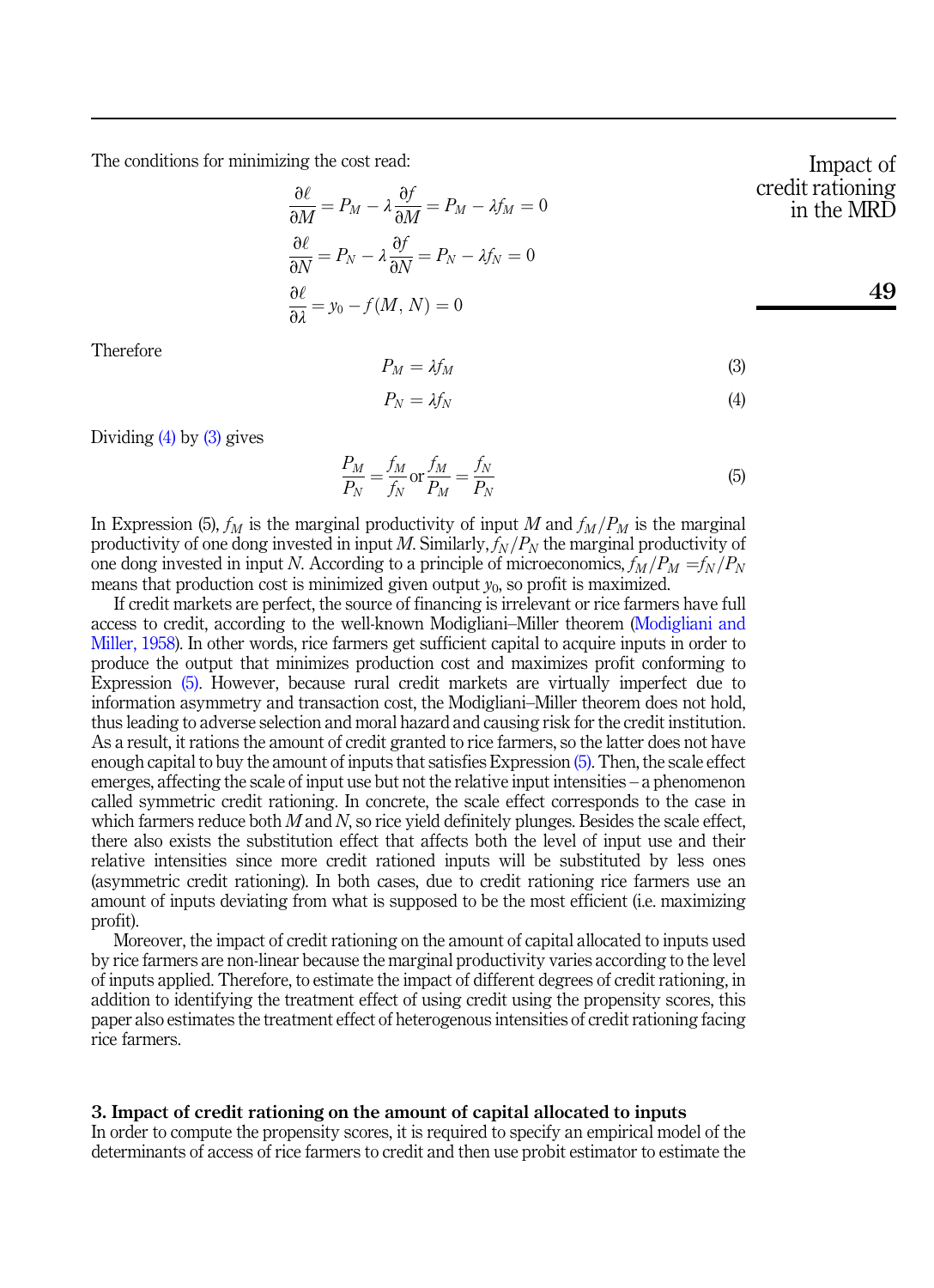The conditions for minimizing the cost read:

$$
\frac{\partial \ell}{\partial M} = P_M - \lambda \frac{\partial f}{\partial M} = P_M - \lambda f_M = 0
$$
\n
$$
\frac{\partial \ell}{\partial N} = P_N - \lambda \frac{\partial f}{\partial N} = P_N - \lambda f_N = 0
$$
\n
$$
\frac{\partial \ell}{\partial \lambda} = y_0 - f(M, N) = 0
$$

<span id="page-2-2"></span>Therefore

$$
P_M = \lambda f_M \tag{3}
$$

$$
P_N = \lambda f_N \tag{4}
$$

<span id="page-2-3"></span><span id="page-2-1"></span>Dividing [\(4\)](#page-2-1) by [\(3\)](#page-2-2) gives

$$
\frac{P_M}{P_N} = \frac{f_M}{f_N} \text{ or } \frac{f_M}{P_M} = \frac{f_N}{P_N} \tag{5}
$$

In Expression (5),  $f_M$  is the marginal productivity of input M and  $f_M/P_M$  is the marginal productivity of one dong invested in input M. Similarly,  $f_N/P_N$  the marginal productivity of one dong invested in input N. According to a principle of microeconomics,  $f_M/P_M = f_N/P_N$ means that production cost is minimized given output  $y_0$ , so profit is maximized.

If credit markets are perfect, the source of financing is irrelevant or rice farmers have full access to credit, according to the well-known Modigliani–Miller theorem [\(Modigliani and](#page-12-0) [Miller, 1958\)](#page-12-0). In other words, rice farmers get sufficient capital to acquire inputs in order to produce the output that minimizes production cost and maximizes profit conforming to Expression [\(5\).](#page-2-3) However, because rural credit markets are virtually imperfect due to information asymmetry and transaction cost, the Modigliani–Miller theorem does not hold, thus leading to adverse selection and moral hazard and causing risk for the credit institution. As a result, it rations the amount of credit granted to rice farmers, so the latter does not have enough capital to buy the amount of inputs that satisfies Expression [\(5\)](#page-2-3). Then, the scale effect emerges, affecting the scale of input use but not the relative input intensities – a phenomenon called symmetric credit rationing. In concrete, the scale effect corresponds to the case in which farmers reduce both  $M$  and  $N$ , so rice yield definitely plunges. Besides the scale effect, there also exists the substitution effect that affects both the level of input use and their relative intensities since more credit rationed inputs will be substituted by less ones (asymmetric credit rationing). In both cases, due to credit rationing rice farmers use an amount of inputs deviating from what is supposed to be the most efficient (i.e. maximizing profit).

Moreover, the impact of credit rationing on the amount of capital allocated to inputs used by rice farmers are non-linear because the marginal productivity varies according to the level of inputs applied. Therefore, to estimate the impact of different degrees of credit rationing, in addition to identifying the treatment effect of using credit using the propensity scores, this paper also estimates the treatment effect of heterogenous intensities of credit rationing facing rice farmers.

## <span id="page-2-0"></span>3. Impact of credit rationing on the amount of capital allocated to inputs

In order to compute the propensity scores, it is required to specify an empirical model of the determinants of access of rice farmers to credit and then use probit estimator to estimate the

Impact of edit rationing in the MRD

$$
49\,
$$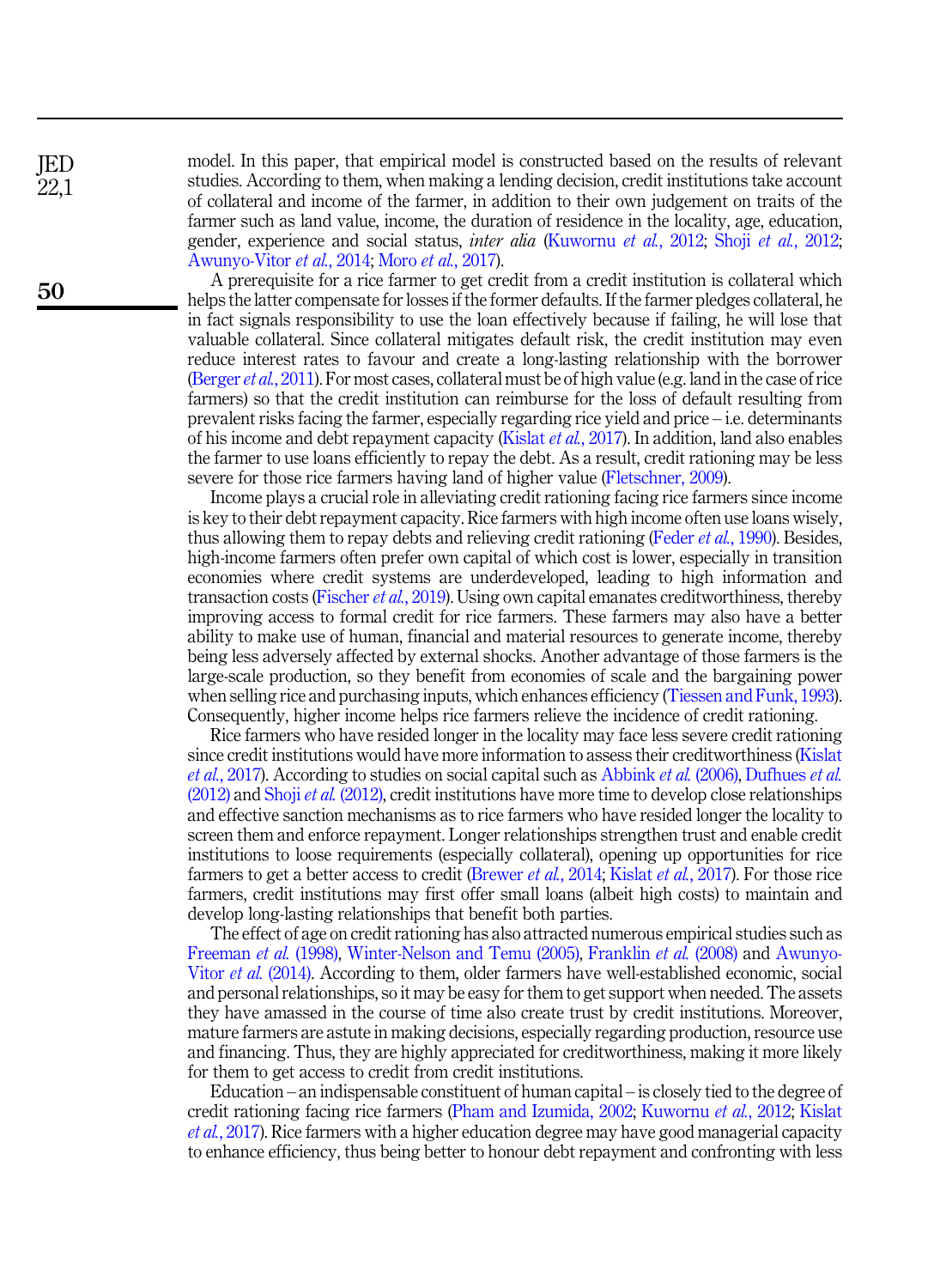model. In this paper, that empirical model is constructed based on the results of relevant studies. According to them, when making a lending decision, credit institutions take account of collateral and income of the farmer, in addition to their own judgement on traits of the farmer such as land value, income, the duration of residence in the locality, age, education, gender, experience and social status, inter alia ([Kuwornu](#page-12-1) et al., 2012; Shoji et al.[, 2012](#page-12-2); [Awunyo-Vitor](#page-11-0) et al., 2014; Moro et al.[, 2017](#page-12-3)).

A prerequisite for a rice farmer to get credit from a credit institution is collateral which helps the latter compensate for losses if the former defaults. If the farmer pledges collateral, he in fact signals responsibility to use the loan effectively because if failing, he will lose that valuable collateral. Since collateral mitigates default risk, the credit institution may even reduce interest rates to favour and create a long-lasting relationship with the borrower ([Berger](#page-11-1) et al., 2011). For most cases, collateral must be of high value (e.g. land in the case of rice farmers) so that the credit institution can reimburse for the loss of default resulting from prevalent risks facing the farmer, especially regarding rice yield and price – i.e. determinants of his income and debt repayment capacity ([Kislat](#page-12-4) et al., 2017). In addition, land also enables the farmer to use loans efficiently to repay the debt. As a result, credit rationing may be less severe for those rice farmers having land of higher value [\(Fletschner, 2009](#page-12-5)).

Income plays a crucial role in alleviating credit rationing facing rice farmers since income is key to their debt repayment capacity. Rice farmers with high income often use loans wisely, thus allowing them to repay debts and relieving credit rationing (Feder *et al.*[, 1990\)](#page-12-6). Besides, high-income farmers often prefer own capital of which cost is lower, especially in transition economies where credit systems are underdeveloped, leading to high information and transaction costs [\(Fischer](#page-12-7) et al., 2019). Using own capital emanates creditworthiness, thereby improving access to formal credit for rice farmers. These farmers may also have a better ability to make use of human, financial and material resources to generate income, thereby being less adversely affected by external shocks. Another advantage of those farmers is the large-scale production, so they benefit from economies of scale and the bargaining power when selling rice and purchasing inputs, which enhances efficiency [\(Tiessen and Funk, 1993\)](#page-13-1). Consequently, higher income helps rice farmers relieve the incidence of credit rationing.

Rice farmers who have resided longer in the locality may face less severe credit rationing since credit institutions would have more information to assess their creditworthiness ([Kislat](#page-12-4) et al.[, 2017\)](#page-12-4). According to studies on social capital such as [Abbink](#page-11-2) et al. (2006), [Dufhues](#page-12-8) et al.  $(2012)$  and Shoji *et al.*  $(2012)$ , credit institutions have more time to develop close relationships and effective sanction mechanisms as to rice farmers who have resided longer the locality to screen them and enforce repayment. Longer relationships strengthen trust and enable credit institutions to loose requirements (especially collateral), opening up opportunities for rice farmers to get a better access to credit [\(Brewer](#page-11-3) *et al.*, 2014; [Kislat](#page-12-4) *et al.*, 2017). For those rice farmers, credit institutions may first offer small loans (albeit high costs) to maintain and develop long-lasting relationships that benefit both parties.

The effect of age on credit rationing has also attracted numerous empirical studies such as [Freeman](#page-12-9) et al. (1998), [Winter-Nelson and Temu \(2005\)](#page-13-2), [Franklin](#page-12-10) et al. (2008) and [Awunyo-](#page-11-0)Vitor et al. [\(2014\)](#page-11-0). According to them, older farmers have well-established economic, social and personal relationships, so it may be easy for them to get support when needed. The assets they have amassed in the course of time also create trust by credit institutions. Moreover, mature farmers are astute in making decisions, especially regarding production, resource use and financing. Thus, they are highly appreciated for creditworthiness, making it more likely for them to get access to credit from credit institutions.

Education – an indispensable constituent of human capital – is closely tied to the degree of credit rationing facing rice farmers [\(Pham and Izumida, 2002](#page-12-11); [Kuwornu](#page-12-1) et al., 2012; [Kislat](#page-12-4) et al.[, 2017](#page-12-4)). Rice farmers with a higher education degree may have good managerial capacity to enhance efficiency, thus being better to honour debt repayment and confronting with less

JED 22,1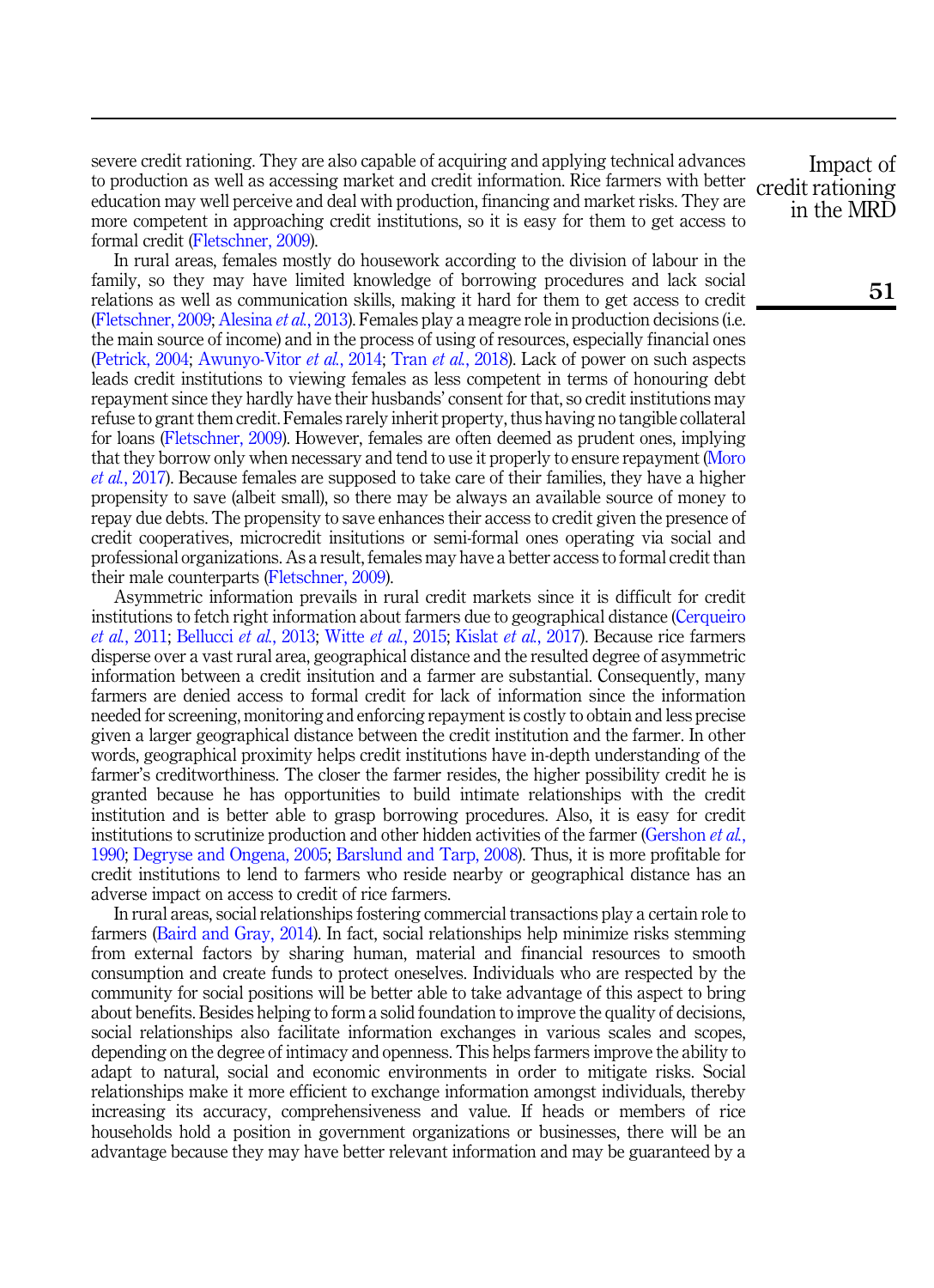severe credit rationing. They are also capable of acquiring and applying technical advances to production as well as accessing market and credit information. Rice farmers with better education may well perceive and deal with production, financing and market risks. They are more competent in approaching credit institutions, so it is easy for them to get access to formal credit ([Fletschner, 2009\)](#page-12-5).

In rural areas, females mostly do housework according to the division of labour in the family, so they may have limited knowledge of borrowing procedures and lack social relations as well as communication skills, making it hard for them to get access to credit ([Fletschner, 2009;](#page-12-5) [Alesina](#page-11-4) et al., 2013). Females play a meagre role in production decisions (i.e. the main source of income) and in the process of using of resources, especially financial ones ([Petrick, 2004;](#page-12-12) [Awunyo-Vitor](#page-11-0) et al., 2014; Tran et al.[, 2018](#page-13-3)). Lack of power on such aspects leads credit institutions to viewing females as less competent in terms of honouring debt repayment since they hardly have their husbands' consent for that, so credit institutions may refuse to grant them credit. Females rarely inherit property, thus having no tangible collateral for loans ([Fletschner, 2009](#page-12-5)). However, females are often deemed as prudent ones, implying that they borrow only when necessary and tend to use it properly to ensure repayment ([Moro](#page-12-3) et al.[, 2017\)](#page-12-3). Because females are supposed to take care of their families, they have a higher propensity to save (albeit small), so there may be always an available source of money to repay due debts. The propensity to save enhances their access to credit given the presence of credit cooperatives, microcredit insitutions or semi-formal ones operating via social and professional organizations. As a result, females may have a better access to formal credit than their male counterparts ([Fletschner, 2009\)](#page-12-5).

Asymmetric information prevails in rural credit markets since it is difficult for credit institutions to fetch right information about farmers due to geographical distance [\(Cerqueiro](#page-11-5) et al.[, 2011;](#page-11-5) [Bellucci](#page-11-6) et al., 2013; Witte et al.[, 2015](#page-13-4); Kislat et al.[, 2017\)](#page-12-4). Because rice farmers disperse over a vast rural area, geographical distance and the resulted degree of asymmetric information between a credit insitution and a farmer are substantial. Consequently, many farmers are denied access to formal credit for lack of information since the information needed for screening, monitoring and enforcing repayment is costly to obtain and less precise given a larger geographical distance between the credit institution and the farmer. In other words, geographical proximity helps credit institutions have in-depth understanding of the farmer's creditworthiness. The closer the farmer resides, the higher possibility credit he is granted because he has opportunities to build intimate relationships with the credit institution and is better able to grasp borrowing procedures. Also, it is easy for credit institutions to scrutinize production and other hidden activities of the farmer [\(Gershon](#page-12-13) *et al.*, [1990;](#page-12-13) [Degryse and Ongena, 2005](#page-12-14); [Barslund and Tarp, 2008\)](#page-11-7). Thus, it is more profitable for credit institutions to lend to farmers who reside nearby or geographical distance has an adverse impact on access to credit of rice farmers.

In rural areas, social relationships fostering commercial transactions play a certain role to farmers ([Baird and Gray, 2014\)](#page-11-8). In fact, social relationships help minimize risks stemming from external factors by sharing human, material and financial resources to smooth consumption and create funds to protect oneselves. Individuals who are respected by the community for social positions will be better able to take advantage of this aspect to bring about benefits. Besides helping to form a solid foundation to improve the quality of decisions, social relationships also facilitate information exchanges in various scales and scopes, depending on the degree of intimacy and openness. This helps farmers improve the ability to adapt to natural, social and economic environments in order to mitigate risks. Social relationships make it more efficient to exchange information amongst individuals, thereby increasing its accuracy, comprehensiveness and value. If heads or members of rice households hold a position in government organizations or businesses, there will be an advantage because they may have better relevant information and may be guaranteed by a

Impact of credit rationing in the MRD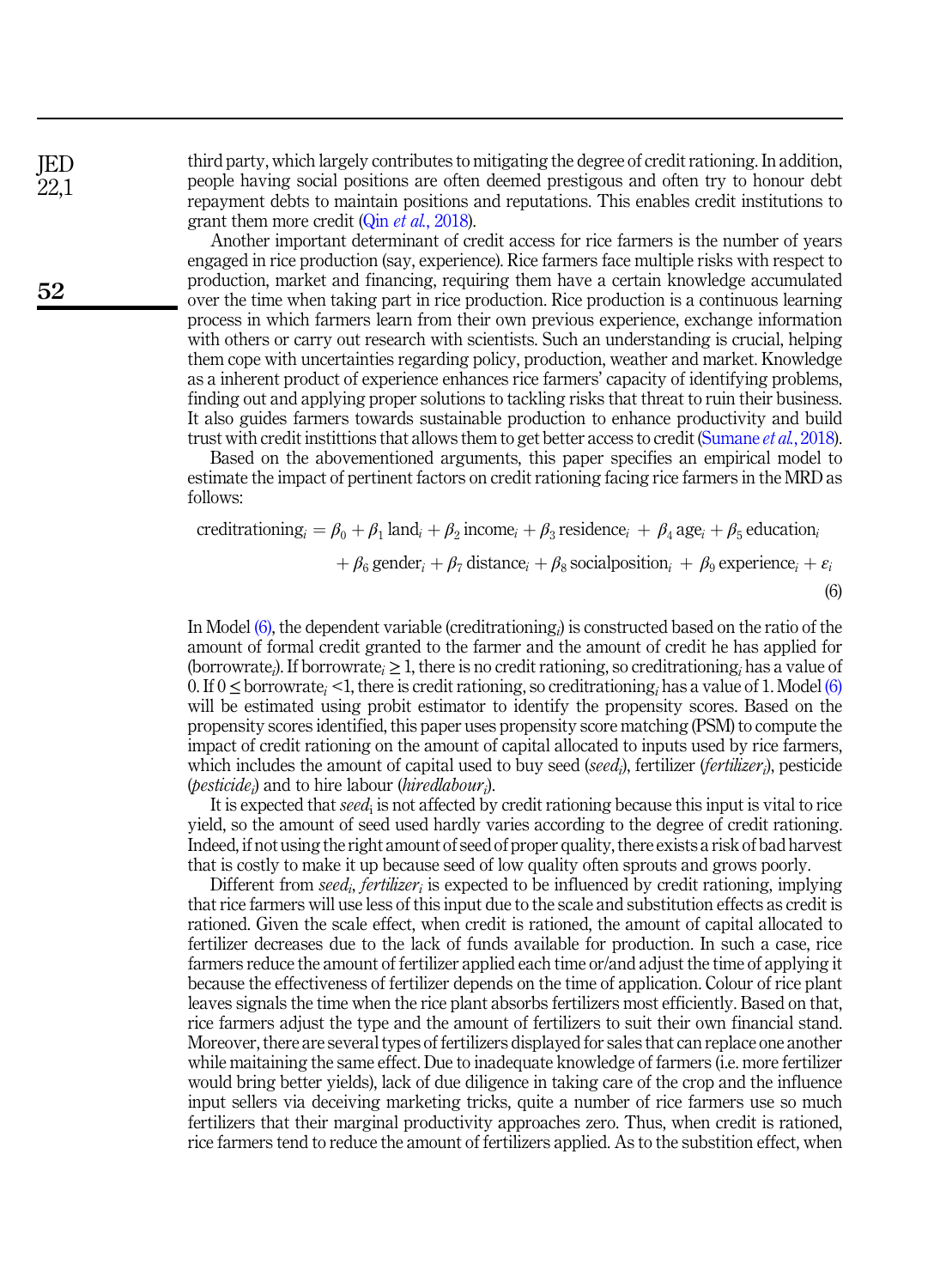third party, which largely contributes to mitigating the degree of credit rationing. In addition, people having social positions are often deemed prestigous and often try to honour debt repayment debts to maintain positions and reputations. This enables credit institutions to grant them more credit (Qin *et al.*[, 2018](#page-12-15)).

Another important determinant of credit access for rice farmers is the number of years engaged in rice production (say, experience). Rice farmers face multiple risks with respect to production, market and financing, requiring them have a certain knowledge accumulated over the time when taking part in rice production. Rice production is a continuous learning process in which farmers learn from their own previous experience, exchange information with others or carry out research with scientists. Such an understanding is crucial, helping them cope with uncertainties regarding policy, production, weather and market. Knowledge as a inherent product of experience enhances rice farmers' capacity of identifying problems, finding out and applying proper solutions to tackling risks that threat to ruin their business. It also guides farmers towards sustainable production to enhance productivity and build trust with credit instittions that allows them to get better access to credit ([Sumane](#page-13-5) et al., 2018).

<span id="page-5-0"></span>Based on the abovementioned arguments, this paper specifies an empirical model to estimate the impact of pertinent factors on credit rationing facing rice farmers in the MRD as follows:

creditrationing<sub>i</sub> = 
$$
\beta_0 + \beta_1
$$
 land<sub>i</sub> +  $\beta_2$  income<sub>i</sub> +  $\beta_3$  residence<sub>i</sub> +  $\beta_4$  age<sub>i</sub> +  $\beta_5$  education<sub>i</sub>  
+  $\beta_6$  gender<sub>i</sub> +  $\beta_7$  distance<sub>i</sub> +  $\beta_8$  socialposition<sub>i</sub> +  $\beta_9$  experience<sub>i</sub> +  $\varepsilon_i$  (6)

In Model [\(6\),](#page-5-0) the dependent variable (creditrationing;) is constructed based on the ratio of the amount of formal credit granted to the farmer and the amount of credit he has applied for (borrowrate<sub>i</sub>). If borrowrate<sub>i</sub>  $\geq 1$ , there is no credit rationing, so creditrationing<sub>i</sub> has a value of 0. If 0 < borrowrate, <1, there is credit rationing, so creditrationing, has a value of 1. Model [\(6\)](#page-5-0) will be estimated using probit estimator to identify the propensity scores. Based on the propensity scores identified, this paper uses propensity score matching (PSM) to compute the impact of credit rationing on the amount of capital allocated to inputs used by rice farmers, which includes the amount of capital used to buy seed (seed;), fertilizer (*fertilizer*;), pesticide (*pesticide<sub>i</sub>*) and to hire labour (*hiredlabour*<sub>*i*</sub>).

It is expected that *seed*; is not affected by credit rationing because this input is vital to rice yield, so the amount of seed used hardly varies according to the degree of credit rationing. Indeed, if not using the right amount of seed of proper quality, there exists a risk of bad harvest that is costly to make it up because seed of low quality often sprouts and grows poorly.

Different from seed<sub>i</sub>, fertilizer<sub>i</sub> is expected to be influenced by credit rationing, implying that rice farmers will use less of this input due to the scale and substitution effects as credit is rationed. Given the scale effect, when credit is rationed, the amount of capital allocated to fertilizer decreases due to the lack of funds available for production. In such a case, rice farmers reduce the amount of fertilizer applied each time or/and adjust the time of applying it because the effectiveness of fertilizer depends on the time of application. Colour of rice plant leaves signals the time when the rice plant absorbs fertilizers most efficiently. Based on that, rice farmers adjust the type and the amount of fertilizers to suit their own financial stand. Moreover, there are several types of fertilizers displayed for sales that can replace one another while maitaining the same effect. Due to inadequate knowledge of farmers (i.e. more fertilizer would bring better yields), lack of due diligence in taking care of the crop and the influence input sellers via deceiving marketing tricks, quite a number of rice farmers use so much fertilizers that their marginal productivity approaches zero. Thus, when credit is rationed, rice farmers tend to reduce the amount of fertilizers applied. As to the substition effect, when

JED 22,1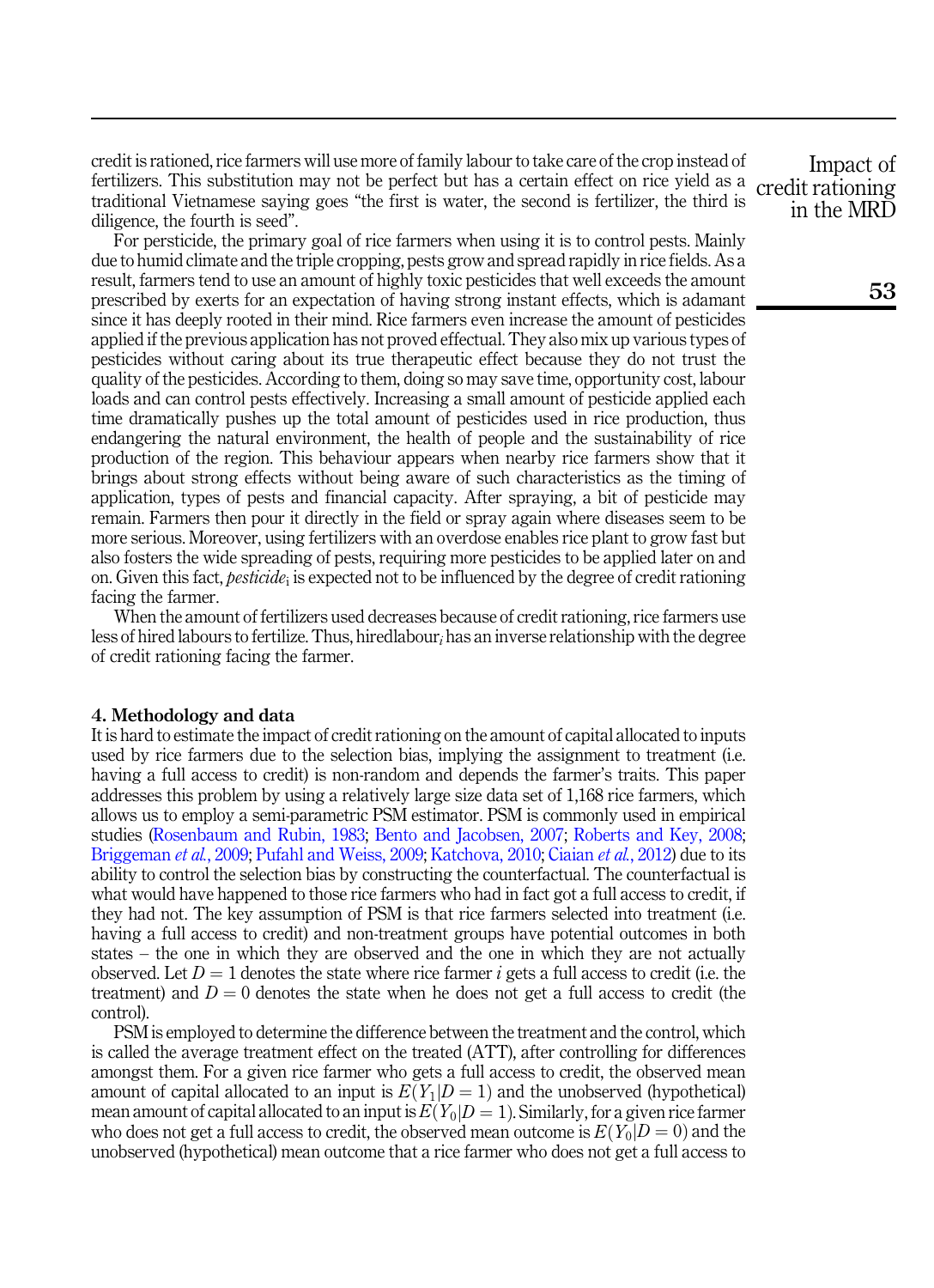credit is rationed, rice farmers will use more of family labour to take care of the crop instead of fertilizers. This substitution may not be perfect but has a certain effect on rice yield as a traditional Vietnamese saying goes "the first is water, the second is fertilizer, the third is diligence, the fourth is seed".

For persticide, the primary goal of rice farmers when using it is to control pests. Mainly due to humid climate and the triple cropping, pests grow and spread rapidly in rice fields. As a result, farmers tend to use an amount of highly toxic pesticides that well exceeds the amount prescribed by exerts for an expectation of having strong instant effects, which is adamant since it has deeply rooted in their mind. Rice farmers even increase the amount of pesticides applied if the previous application has not proved effectual. They also mix up various types of pesticides without caring about its true therapeutic effect because they do not trust the quality of the pesticides. According to them, doing so may save time, opportunity cost, labour loads and can control pests effectively. Increasing a small amount of pesticide applied each time dramatically pushes up the total amount of pesticides used in rice production, thus endangering the natural environment, the health of people and the sustainability of rice production of the region. This behaviour appears when nearby rice farmers show that it brings about strong effects without being aware of such characteristics as the timing of application, types of pests and financial capacity. After spraying, a bit of pesticide may remain. Farmers then pour it directly in the field or spray again where diseases seem to be more serious. Moreover, using fertilizers with an overdose enables rice plant to grow fast but also fosters the wide spreading of pests, requiring more pesticides to be applied later on and on. Given this fact, *pesticide*; is expected not to be influenced by the degree of credit rationing facing the farmer.

When the amount of fertilizers used decreases because of credit rationing, rice farmers use less of hired labours to fertilize. Thus, hiredlabour, has an inverse relationship with the degree of credit rationing facing the farmer.

## <span id="page-6-0"></span>4. Methodology and data

It is hard to estimate the impact of credit rationing on the amount of capital allocated to inputs used by rice farmers due to the selection bias, implying the assignment to treatment (i.e. having a full access to credit) is non-random and depends the farmer's traits. This paper addresses this problem by using a relatively large size data set of 1,168 rice farmers, which allows us to employ a semi-parametric PSM estimator. PSM is commonly used in empirical studies ([Rosenbaum and Rubin, 1983;](#page-12-16) [Bento and Jacobsen, 2007;](#page-11-9) [Roberts and Key, 2008](#page-12-17); [Briggeman](#page-11-10) *et al.*, 2009; [Pufahl and Weiss, 2009;](#page-12-18) [Katchova, 2010;](#page-12-19) [Ciaian](#page-11-11) *et al.*, 2012) due to its ability to control the selection bias by constructing the counterfactual. The counterfactual is what would have happened to those rice farmers who had in fact got a full access to credit, if they had not. The key assumption of PSM is that rice farmers selected into treatment (i.e. having a full access to credit) and non-treatment groups have potential outcomes in both states – the one in which they are observed and the one in which they are not actually observed. Let  $D = 1$  denotes the state where rice farmer i gets a full access to credit (i.e. the treatment) and  $D = 0$  denotes the state when he does not get a full access to credit (the control).

PSM is employed to determine the difference between the treatment and the control, which is called the average treatment effect on the treated (ATT), after controlling for differences amongst them. For a given rice farmer who gets a full access to credit, the observed mean amount of capital allocated to an input is  $E(Y_1|D=1)$  and the unobserved (hypothetical) mean amount of capital allocated to an input is  $E(Y_0|D=1)$ . Similarly, for a given rice farmer who does not get a full access to credit, the observed mean outcome is  $E(Y_0|D=0)$  and the unobserved (hypothetical) mean outcome that a rice farmer who does not get a full access to

Impact of credit rationing in the MRD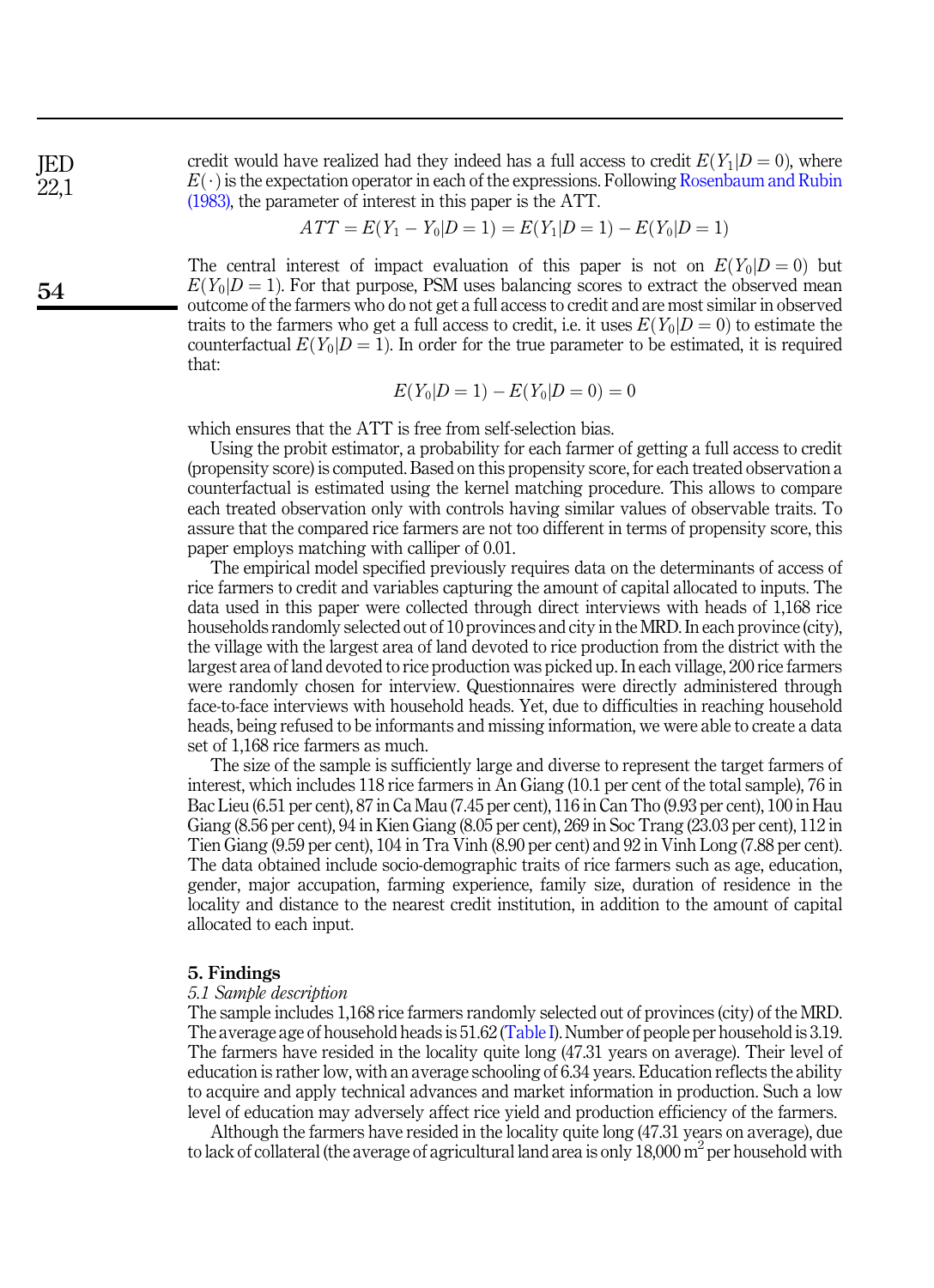credit would have realized had they indeed has a full access to credit  $E(Y_1|D=0)$ , where  $E(\cdot)$  is the expectation operator in each of the expressions. Following [Rosenbaum and Rubin](#page-12-16) [\(1983\),](#page-12-16) the parameter of interest in this paper is the ATT.

$$
ATT = E(Y_1 - Y_0|D = 1) = E(Y_1|D = 1) - E(Y_0|D = 1)
$$

The central interest of impact evaluation of this paper is not on  $E(Y_0|D=0)$  but  $E(Y<sub>0</sub>|D = 1)$ . For that purpose, PSM uses balancing scores to extract the observed mean outcome of the farmers who do not get a full access to credit and are most similar in observed traits to the farmers who get a full access to credit, i.e. it uses  $E(Y_0|D=0)$  to estimate the counterfactual  $E(Y_0|D=1)$ . In order for the true parameter to be estimated, it is required that:

$$
E(Y_0|D=1) - E(Y_0|D=0) = 0
$$

which ensures that the ATT is free from self-selection bias.

Using the probit estimator, a probability for each farmer of getting a full access to credit (propensity score) is computed. Based on this propensity score, for each treated observation a counterfactual is estimated using the kernel matching procedure. This allows to compare each treated observation only with controls having similar values of observable traits. To assure that the compared rice farmers are not too different in terms of propensity score, this paper employs matching with calliper of 0.01.

The empirical model specified previously requires data on the determinants of access of rice farmers to credit and variables capturing the amount of capital allocated to inputs. The data used in this paper were collected through direct interviews with heads of 1,168 rice households randomly selected out of 10 provinces and city in the MRD. In each province (city), the village with the largest area of land devoted to rice production from the district with the largest area of land devoted to rice production was picked up. In each village, 200 rice farmers were randomly chosen for interview. Questionnaires were directly administered through face-to-face interviews with household heads. Yet, due to difficulties in reaching household heads, being refused to be informants and missing information, we were able to create a data set of 1,168 rice farmers as much.

The size of the sample is sufficiently large and diverse to represent the target farmers of interest, which includes 118 rice farmers in An Giang (10.1 per cent of the total sample), 76 in Bac Lieu (6.51 per cent), 87 in Ca Mau (7.45 per cent), 116 in Can Tho (9.93 per cent), 100 in Hau Giang (8.56 per cent), 94 in Kien Giang (8.05 per cent), 269 in Soc Trang (23.03 per cent), 112 in Tien Giang (9.59 per cent), 104 in Tra Vinh (8.90 per cent) and 92 in Vinh Long (7.88 per cent). The data obtained include socio-demographic traits of rice farmers such as age, education, gender, major accupation, farming experience, family size, duration of residence in the locality and distance to the nearest credit institution, in addition to the amount of capital allocated to each input.

#### <span id="page-7-0"></span>5. Findings

#### 5.1 Sample description

The sample includes 1,168 rice farmers randomly selected out of provinces (city) of the MRD. The average age of household heads is 51.62 ([Table I\)](#page-8-0). Number of people per household is 3.19. The farmers have resided in the locality quite long (47.31 years on average). Their level of education is rather low, with an average schooling of 6.34 years. Education reflects the ability to acquire and apply technical advances and market information in production. Such a low level of education may adversely affect rice yield and production efficiency of the farmers.

Although the farmers have resided in the locality quite long (47.31 years on average), due to lack of collateral (the average of agricultural land area is only  $18,000$  m<sup>2</sup> per household with

JED 22,1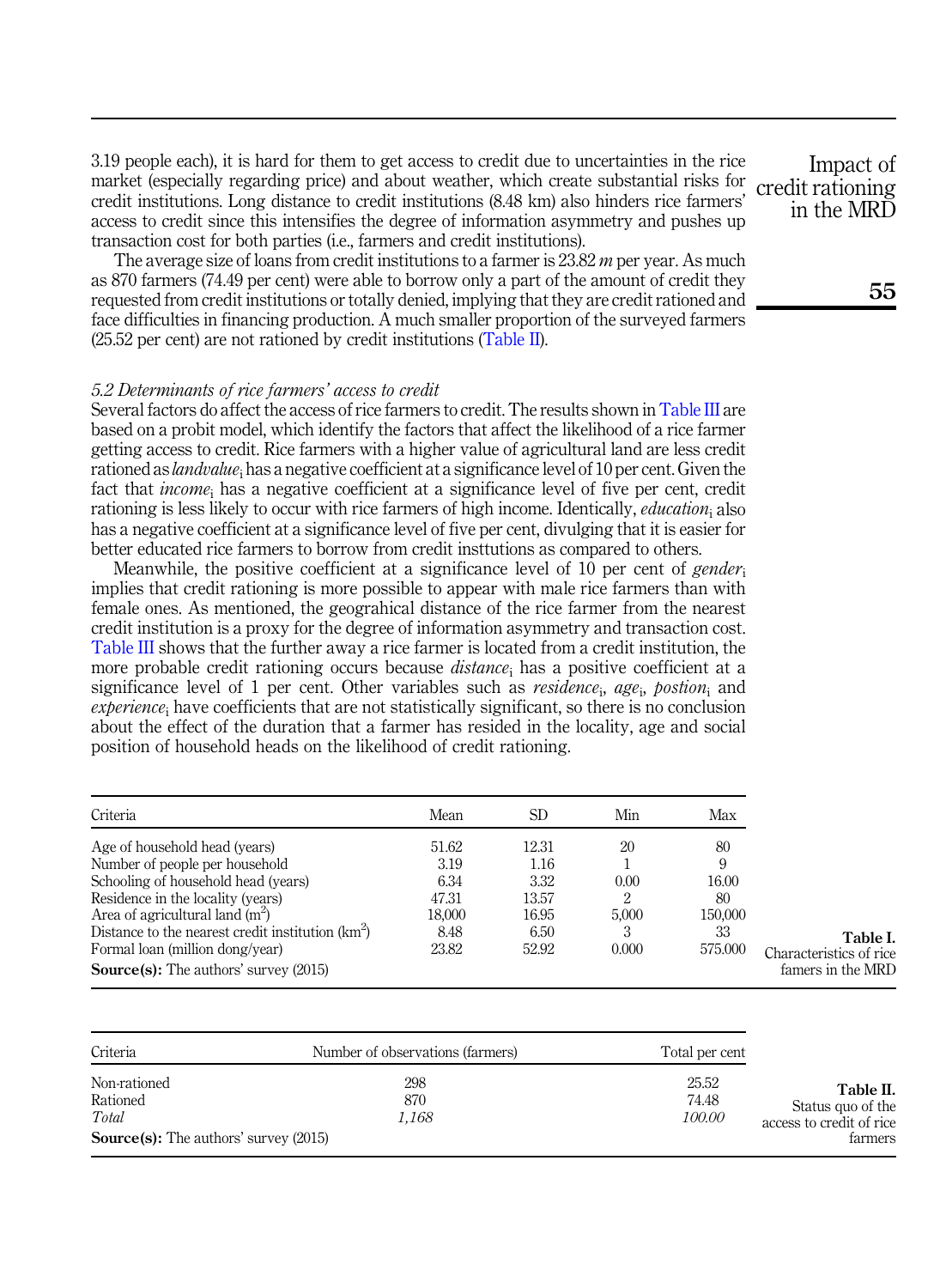<span id="page-8-0"></span>3.19 people each), it is hard for them to get access to credit due to uncertainties in the rice market (especially regarding price) and about weather, which create substantial risks for credit institutions. Long distance to credit institutions (8.48 km) also hinders rice farmers' access to credit since this intensifies the degree of information asymmetry and pushes up transaction cost for both parties (i.e., farmers and credit institutions).

The average size of loans from credit institutions to a farmer is  $23.82$  m per year. As much as 870 farmers (74.49 per cent) were able to borrow only a part of the amount of credit they requested from credit institutions or totally denied, implying that they are credit rationed and face difficulties in financing production. A much smaller proportion of the surveyed farmers (25.52 per cent) are not rationed by credit institutions (Table II).

# 5.2 Determinants of rice farmers' access to credit

Several factors do affect the access of rice farmers to credit. The results shown in [Table III](#page-9-0) are based on a probit model, which identify the factors that affect the likelihood of a rice farmer getting access to credit. Rice farmers with a higher value of agricultural land are less credit rationed as *landvalue*; has a negative coefficient at a significance level of 10 per cent. Given the fact that *income*; has a negative coefficient at a significance level of five per cent, credit rationing is less likely to occur with rice farmers of high income. Identically, *education*, also has a negative coefficient at a significance level of five per cent, divulging that it is easier for better educated rice farmers to borrow from credit insttutions as compared to others.

Meanwhile, the positive coefficient at a significance level of 10 per cent of *gender*. implies that credit rationing is more possible to appear with male rice farmers than with female ones. As mentioned, the geograhical distance of the rice farmer from the nearest credit institution is a proxy for the degree of information asymmetry and transaction cost. [Table III](#page-9-0) shows that the further away a rice farmer is located from a credit institution, the more probable credit rationing occurs because *distance*; has a positive coefficient at a significance level of 1 per cent. Other variables such as *residence*; age<sub>i</sub>, postion<sub>i</sub> and  $experience_i$  have coefficients that are not statistically significant, so there is no conclusion about the effect of the duration that a farmer has resided in the locality, age and social position of household heads on the likelihood of credit rationing.

| Criteria                                            | Mean   | SD    | Min   | Max     |                         |
|-----------------------------------------------------|--------|-------|-------|---------|-------------------------|
| Age of household head (years)                       | 51.62  | 12.31 | 20    | 80      |                         |
| Number of people per household                      | 3.19   | 1.16  |       | 9       |                         |
| Schooling of household head (years)                 | 6.34   | 3.32  | 0.00  | 16.00   |                         |
| Residence in the locality (years)                   | 47.31  | 13.57 | 2     | 80      |                         |
| Area of agricultural land $(m^2)$                   | 18.000 | 16.95 | 5.000 | 150,000 |                         |
| Distance to the nearest credit institution $(km^2)$ | 8.48   | 6.50  | 3     | 33      | Table I.                |
| Formal loan (million dong/year)                     | 23.82  | 52.92 | 0.000 | 575,000 | Characteristics of rice |
| <b>Source(s):</b> The authors' survey (2015)        |        |       |       |         | famers in the MRD       |

| Number of observations (farmers) | Total per cent                               |                                                          |
|----------------------------------|----------------------------------------------|----------------------------------------------------------|
| 298<br>870                       | 25.52<br>74.48                               |                                                          |
| 1.168                            | <i>100.00</i>                                | Status quo of the<br>access to credit of rice<br>farmers |
|                                  | <b>Source(s):</b> The authors' survey (2015) |                                                          |

Impact of credit rationing in the MRD

55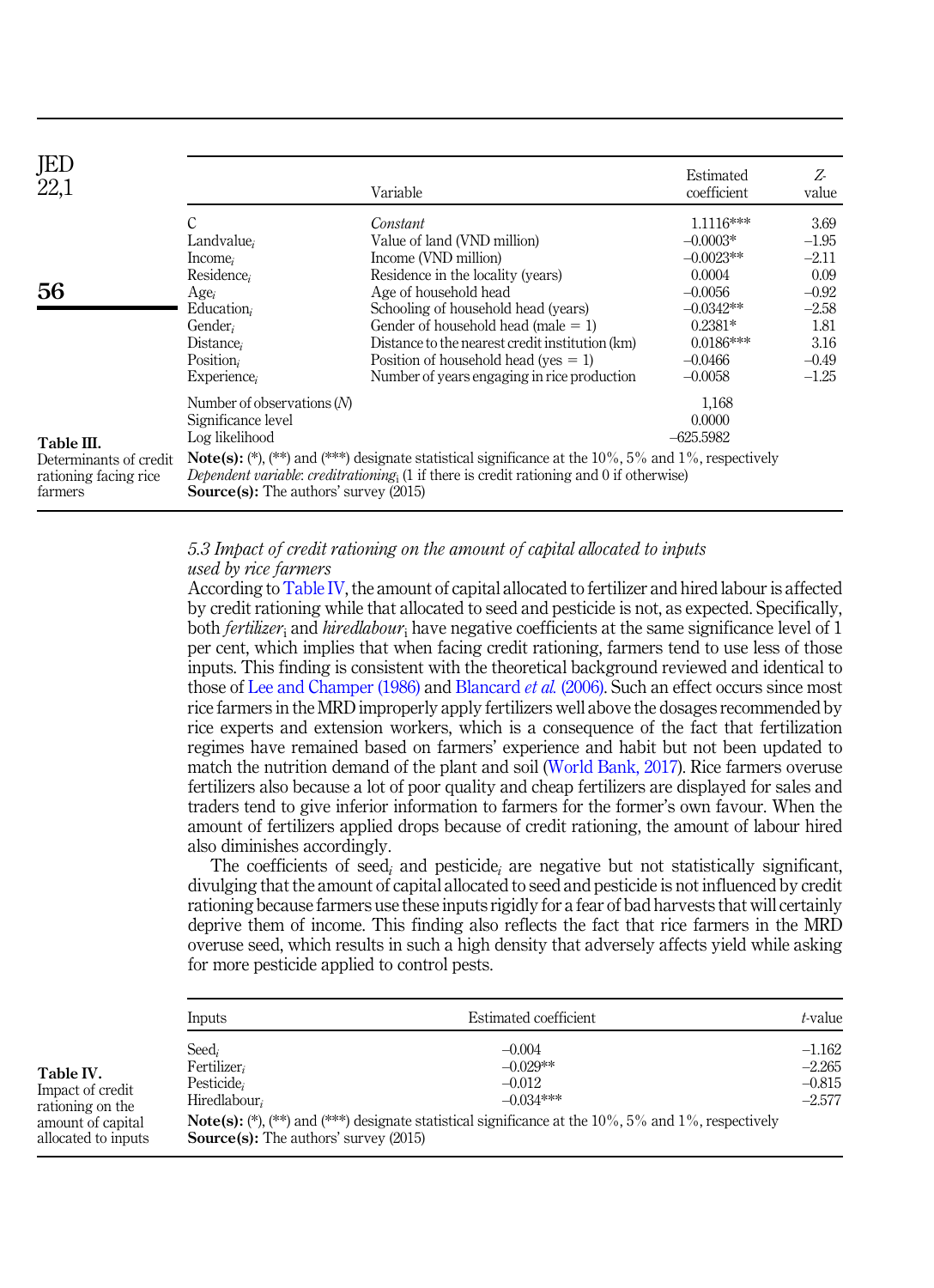<span id="page-9-0"></span>

| JED<br>22,1                                                              |                                                                                                                                       | Variable                                                                                                                                                                                                                                                                                                                                                     | Estimated<br>coefficient                                                                                                             | Z<br>value                                                                                     |
|--------------------------------------------------------------------------|---------------------------------------------------------------------------------------------------------------------------------------|--------------------------------------------------------------------------------------------------------------------------------------------------------------------------------------------------------------------------------------------------------------------------------------------------------------------------------------------------------------|--------------------------------------------------------------------------------------------------------------------------------------|------------------------------------------------------------------------------------------------|
| 56                                                                       | Landvalue,<br>Income <sub>i</sub><br>Residence;<br>Age <sub>i</sub><br>Education,<br>Gender.<br>Distance,<br>Position,<br>Experience, | Constant<br>Value of land (VND million)<br>Income (VND million)<br>Residence in the locality (years)<br>Age of household head<br>Schooling of household head (years)<br>Gender of household head (male $= 1$ )<br>Distance to the nearest credit institution (km)<br>Position of household head ( $ves = 1$ )<br>Number of years engaging in rice production | $1.1116***$<br>$-0.0003*$<br>$-0.0023**$<br>0.0004<br>$-0.0056$<br>$-0.0342**$<br>$0.2381*$<br>$0.0186***$<br>$-0.0466$<br>$-0.0058$ | 3.69<br>$-1.95$<br>$-2.11$<br>0.09<br>$-0.92$<br>$-2.58$<br>1.81<br>3.16<br>$-0.49$<br>$-1.25$ |
| Table III.<br>Determinants of credit<br>rationing facing rice<br>farmers | Number of observations $(N)$<br>Significance level<br>Log likelihood<br><b>Source(s):</b> The authors' survey (2015)                  | <b>Note(s):</b> (*), (**) and (***) designate statistical significance at the $10\%$ , $5\%$ and $1\%$ , respectively<br>Dependent variable: creditrationing, $(1$ if there is credit rationing and 0 if otherwise)                                                                                                                                          | 1,168<br>0.0000<br>$-625.5982$                                                                                                       |                                                                                                |

# 5.3 Impact of credit rationing on the amount of capital allocated to inputs used by rice farmers

According to Table IV, the amount of capital allocated to fertilizer and hired labour is affected by credit rationing while that allocated to seed and pesticide is not, as expected. Specifically, both *fertilizer*<sub>i</sub> and *hiredlabour*<sub>i</sub> have negative coefficients at the same significance level of 1 per cent, which implies that when facing credit rationing, farmers tend to use less of those inputs. This finding is consistent with the theoretical background reviewed and identical to those of [Lee and Champer \(1986\)](#page-12-20) and [Blancard](#page-11-12) et al. (2006). Such an effect occurs since most rice farmers in the MRD improperly apply fertilizers well above the dosages recommended by rice experts and extension workers, which is a consequence of the fact that fertilization regimes have remained based on farmers' experience and habit but not been updated to match the nutrition demand of the plant and soil [\(World Bank, 2017](#page-13-6)). Rice farmers overuse fertilizers also because a lot of poor quality and cheap fertilizers are displayed for sales and traders tend to give inferior information to farmers for the former's own favour. When the amount of fertilizers applied drops because of credit rationing, the amount of labour hired also diminishes accordingly.

The coefficients of seed<sub>i</sub> and pesticide<sub>i</sub> are negative but not statistically significant, divulging that the amount of capital allocated to seed and pesticide is not influenced by credit rationing because farmers use these inputs rigidly for a fear of bad harvests that will certainly deprive them of income. This finding also reflects the fact that rice farmers in the MRD overuse seed, which results in such a high density that adversely affects yield while asking for more pesticide applied to control pests.

|                                                                                               | <i>Inputs</i>                                                                                      | Estimated coefficient                                                                                                                                                      | t-value                                      |
|-----------------------------------------------------------------------------------------------|----------------------------------------------------------------------------------------------------|----------------------------------------------------------------------------------------------------------------------------------------------------------------------------|----------------------------------------------|
| Table IV.<br>Impact of credit<br>rationing on the<br>amount of capital<br>allocated to inputs | Seed,<br>Fertilizer,<br>Pesticide,<br>Hiredlabour,<br><b>Source(s):</b> The authors' survey (2015) | $-0.004$<br>$-0.029**$<br>$-0.012$<br>$-0.034***$<br><b>Note(s):</b> (*), (**) and (***) designate statistical significance at the $10\%$ , $5\%$ and $1\%$ , respectively | $-1.162$<br>$-2.265$<br>$-0.815$<br>$-2.577$ |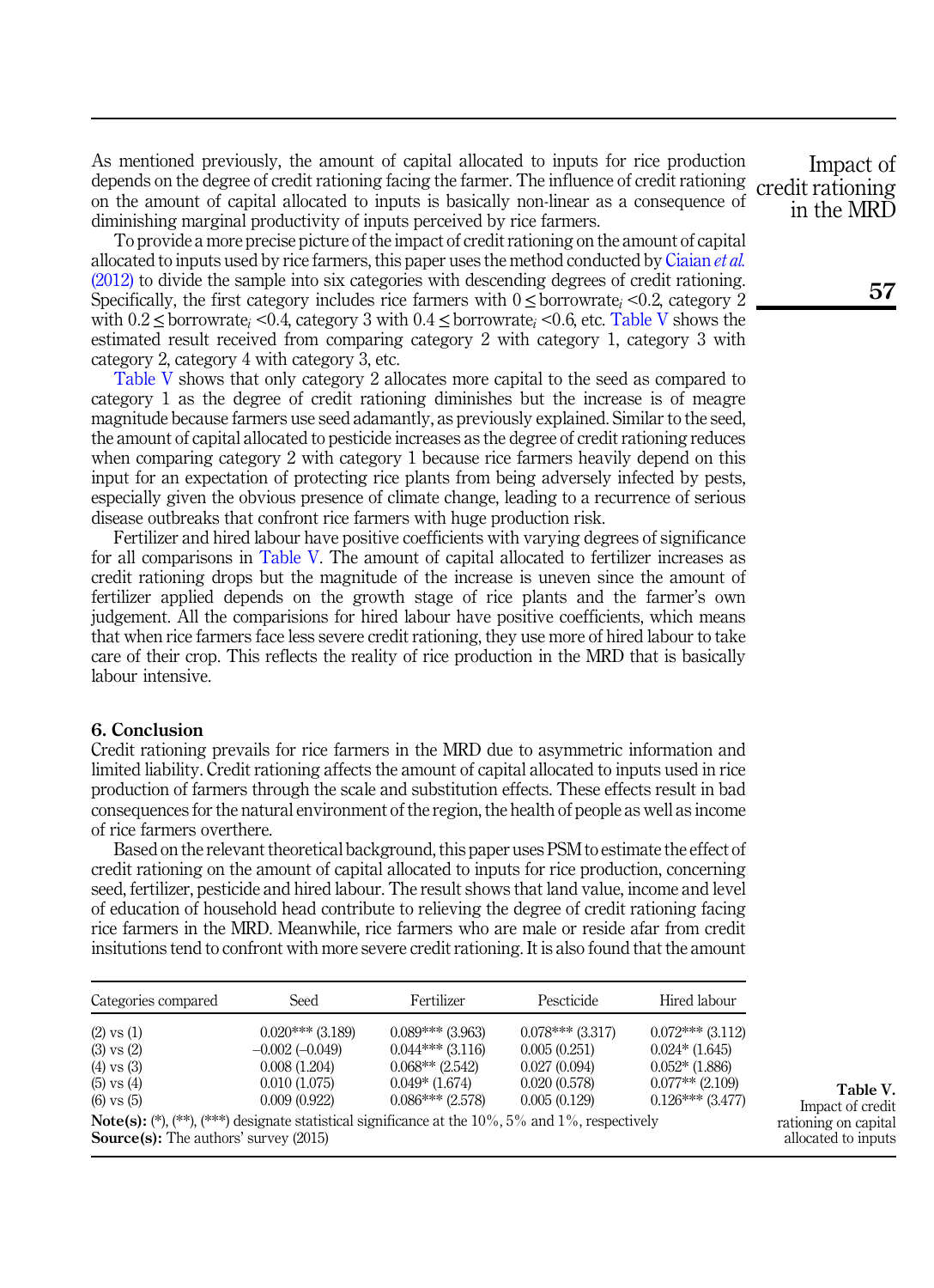As mentioned previously, the amount of capital allocated to inputs for rice production depends on the degree of credit rationing facing the farmer. The influence of credit rationing credit rationing on the amount of capital allocated to inputs is basically non-linear as a consequence of diminishing marginal productivity of inputs perceived by rice farmers.

To provide a more precise picture of the impact of credit rationing on the amount of capital allocated to inputs used by rice farmers, this paper uses the method conducted by [Ciaian](#page-11-11) et al. [\(2012\)](#page-11-11) to divide the sample into six categories with descending degrees of credit rationing. Specifically, the first category includes rice farmers with  $0 \leq$  borrowrate<sub>i</sub> <0.2, category 2 with  $0.2 \leq$  borrowrate<sub>i</sub> <0.4, category 3 with  $0.4 \leq$  borrowrate<sub>i</sub> <0.6, etc. Table V shows the estimated result received from comparing category 2 with category 1, category 3 with category 2, category 4 with category 3, etc.

Table V shows that only category 2 allocates more capital to the seed as compared to category 1 as the degree of credit rationing diminishes but the increase is of meagre magnitude because farmers use seed adamantly, as previously explained. Similar to the seed, the amount of capital allocated to pesticide increases as the degree of credit rationing reduces when comparing category 2 with category 1 because rice farmers heavily depend on this input for an expectation of protecting rice plants from being adversely infected by pests, especially given the obvious presence of climate change, leading to a recurrence of serious disease outbreaks that confront rice farmers with huge production risk.

Fertilizer and hired labour have positive coefficients with varying degrees of significance for all comparisons in Table V. The amount of capital allocated to fertilizer increases as credit rationing drops but the magnitude of the increase is uneven since the amount of fertilizer applied depends on the growth stage of rice plants and the farmer's own judgement. All the comparisions for hired labour have positive coefficients, which means that when rice farmers face less severe credit rationing, they use more of hired labour to take care of their crop. This reflects the reality of rice production in the MRD that is basically labour intensive.

# <span id="page-10-0"></span>6. Conclusion

Credit rationing prevails for rice farmers in the MRD due to asymmetric information and limited liability. Credit rationing affects the amount of capital allocated to inputs used in rice production of farmers through the scale and substitution effects. These effects result in bad consequences for the natural environment of the region, the health of people as well as income of rice farmers overthere.

Based on the relevant theoretical background, this paper uses PSM to estimate the effect of credit rationing on the amount of capital allocated to inputs for rice production, concerning seed, fertilizer, pesticide and hired labour. The result shows that land value, income and level of education of household head contribute to relieving the degree of credit rationing facing rice farmers in the MRD. Meanwhile, rice farmers who are male or reside afar from credit insitutions tend to confront with more severe credit rationing. It is also found that the amount

| Categories compared                                                                                    | Seed               | Fertilizer         | Pescticide         | Hired labour       |
|--------------------------------------------------------------------------------------------------------|--------------------|--------------------|--------------------|--------------------|
| $(2)$ vs $(1)$                                                                                         | $0.020***$ (3.189) | $0.089***$ (3.963) | $0.078***$ (3.317) | $0.072***$ (3.112) |
| $(3)$ vs $(2)$                                                                                         | $-0.002(-0.049)$   | $0.044***$ (3.116) | 0.005(0.251)       | $0.024*(1.645)$    |
| $(4)$ vs $(3)$                                                                                         | 0.008(1.204)       | $0.068**$ (2.542)  | 0.027(0.094)       | $0.052*(1.886)$    |
| $(5)$ vs $(4)$                                                                                         | 0.010(1.075)       | $0.049*$ (1.674)   | 0.020(0.578)       | $0.077**$ (2.109)  |
| $(6)$ vs $(5)$                                                                                         | 0.009(0.922)       | $0.086***$ (2.578) | 0.005(0.129)       | $0.126***$ (3.477) |
| <b>Note(s):</b> (**), (***) designate statistical significance at the $10\%$ , 5% and 1%, respectively |                    |                    |                    |                    |
| <b>Source(s):</b> The authors' survey (2015)                                                           |                    |                    |                    |                    |

Table V. Impact of credit rationing on capital allocated to inputs

Impact of in the MRD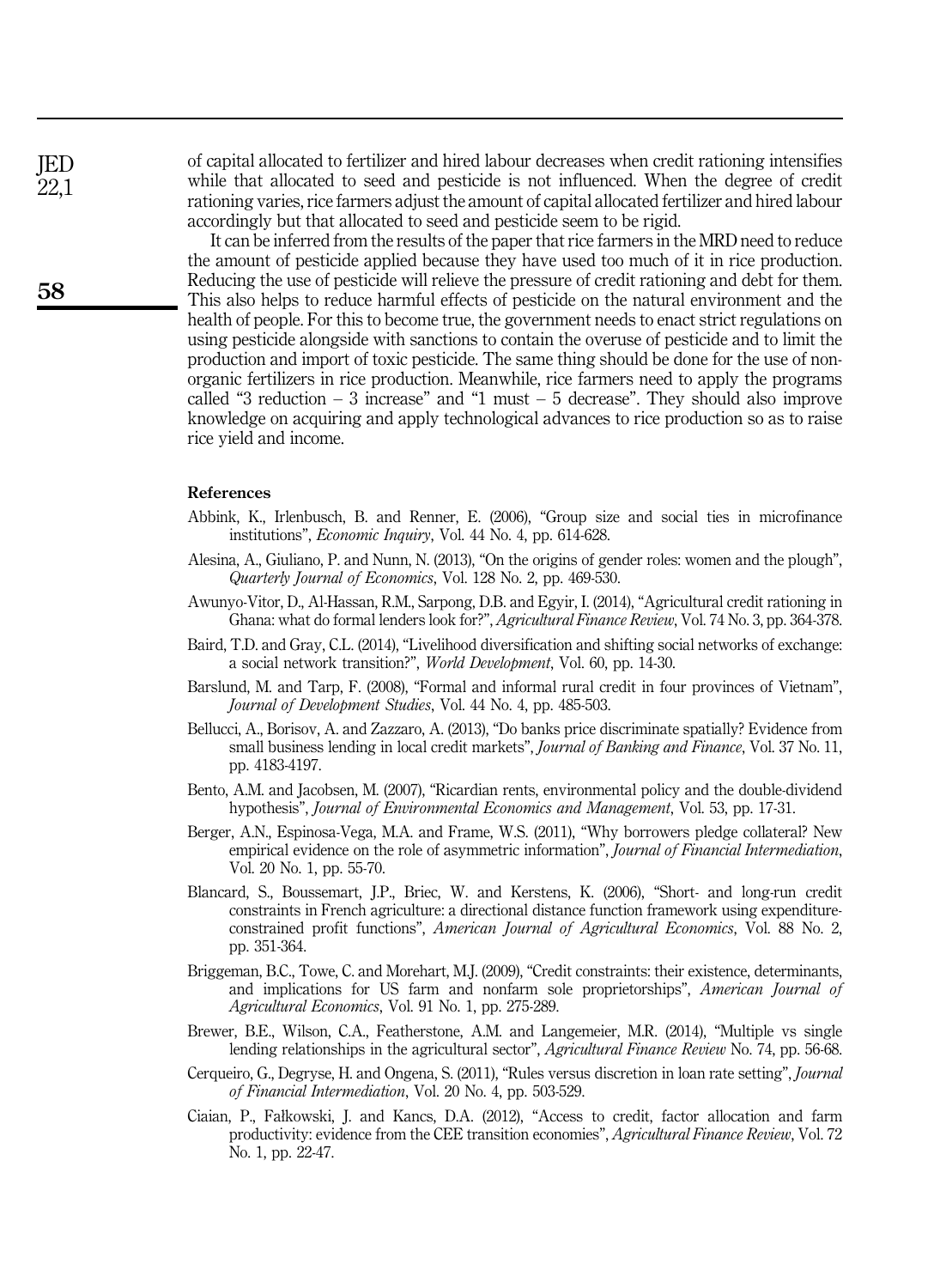of capital allocated to fertilizer and hired labour decreases when credit rationing intensifies while that allocated to seed and pesticide is not influenced. When the degree of credit rationing varies, rice farmers adjust the amount of capital allocated fertilizer and hired labour accordingly but that allocated to seed and pesticide seem to be rigid.

It can be inferred from the results of the paper that rice farmers in the MRD need to reduce the amount of pesticide applied because they have used too much of it in rice production. Reducing the use of pesticide will relieve the pressure of credit rationing and debt for them. This also helps to reduce harmful effects of pesticide on the natural environment and the health of people. For this to become true, the government needs to enact strict regulations on using pesticide alongside with sanctions to contain the overuse of pesticide and to limit the production and import of toxic pesticide. The same thing should be done for the use of nonorganic fertilizers in rice production. Meanwhile, rice farmers need to apply the programs called "3 reduction  $-3$  increase" and "1 must  $-5$  decrease". They should also improve knowledge on acquiring and apply technological advances to rice production so as to raise rice yield and income.

# <span id="page-11-2"></span>References

- Abbink, K., Irlenbusch, B. and Renner, E. (2006), "Group size and social ties in microfinance institutions", Economic Inquiry, Vol. 44 No. 4, pp. 614-628.
- <span id="page-11-4"></span>Alesina, A., Giuliano, P. and Nunn, N. (2013), "On the origins of gender roles: women and the plough", Quarterly Journal of Economics, Vol. 128 No. 2, pp. 469-530.
- <span id="page-11-0"></span>Awunyo-Vitor, D., Al-Hassan, R.M., Sarpong, D.B. and Egyir, I. (2014), "Agricultural credit rationing in Ghana: what do formal lenders look for?", Agricultural Finance Review, Vol. 74 No. 3, pp. 364-378.
- <span id="page-11-8"></span>Baird, T.D. and Gray, C.L. (2014), "Livelihood diversification and shifting social networks of exchange: a social network transition?", World Development, Vol. 60, pp. 14-30.
- <span id="page-11-7"></span>Barslund, M. and Tarp, F. (2008), "Formal and informal rural credit in four provinces of Vietnam", Journal of Development Studies, Vol. 44 No. 4, pp. 485-503.
- <span id="page-11-6"></span>Bellucci, A., Borisov, A. and Zazzaro, A. (2013), "Do banks price discriminate spatially? Evidence from small business lending in local credit markets", *Journal of Banking and Finance*, Vol. 37 No. 11, pp. 4183-4197.
- <span id="page-11-9"></span>Bento, A.M. and Jacobsen, M. (2007), "Ricardian rents, environmental policy and the double-dividend hypothesis", Journal of Environmental Economics and Management, Vol. 53, pp. 17-31.
- <span id="page-11-1"></span>Berger, A.N., Espinosa-Vega, M.A. and Frame, W.S. (2011), "Why borrowers pledge collateral? New empirical evidence on the role of asymmetric information", *Journal of Financial Intermediation*, Vol. 20 No. 1, pp. 55-70.
- <span id="page-11-12"></span>Blancard, S., Boussemart, J.P., Briec, W. and Kerstens, K. (2006), "Short- and long-run credit constraints in French agriculture: a directional distance function framework using expenditureconstrained profit functions", American Journal of Agricultural Economics, Vol. 88 No. 2, pp. 351-364.
- <span id="page-11-10"></span>Briggeman, B.C., Towe, C. and Morehart, M.J. (2009), "Credit constraints: their existence, determinants, and implications for US farm and nonfarm sole proprietorships", American Journal of Agricultural Economics, Vol. 91 No. 1, pp. 275-289.
- <span id="page-11-3"></span>Brewer, B.E., Wilson, C.A., Featherstone, A.M. and Langemeier, M.R. (2014), "Multiple vs single lending relationships in the agricultural sector", Agricultural Finance Review No. 74, pp. 56-68.
- <span id="page-11-5"></span>Cerqueiro, G., Degryse, H. and Ongena, S. (2011), "Rules versus discretion in loan rate setting", Journal of Financial Intermediation, Vol. 20 No. 4, pp. 503-529.
- <span id="page-11-11"></span>Ciaian, P., Fałkowski, J. and Kancs, D.A. (2012), "Access to credit, factor allocation and farm productivity: evidence from the CEE transition economies", Agricultural Finance Review, Vol. 72 No. 1, pp. 22-47.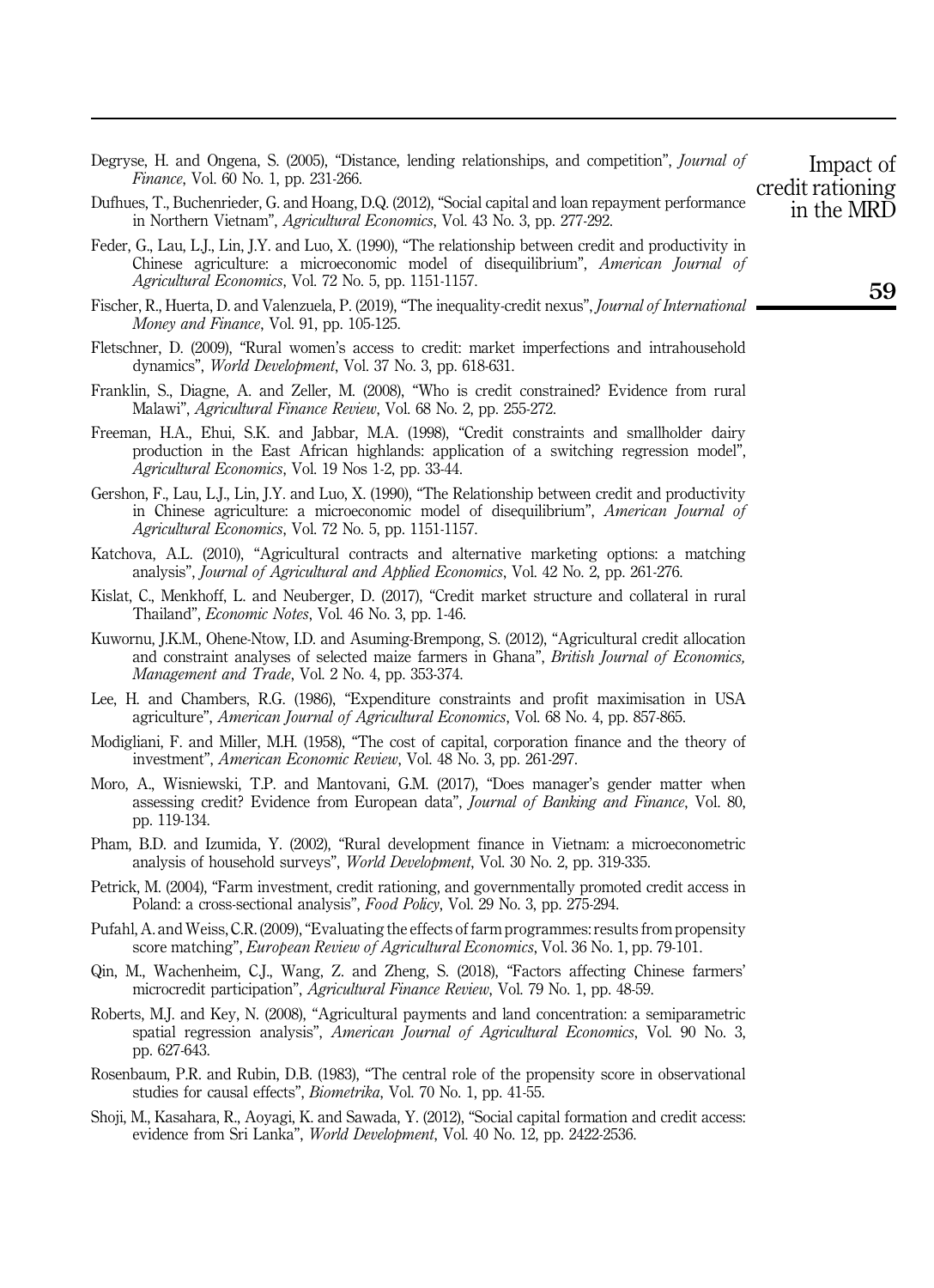- <span id="page-12-14"></span>Degryse, H. and Ongena, S. (2005), "Distance, lending relationships, and competition", *Journal of* Finance, Vol. 60 No. 1, pp. 231-266.
- <span id="page-12-8"></span>Dufhues, T., Buchenrieder, G. and Hoang, D.Q. (2012), "Social capital and loan repayment performance in Northern Vietnam", Agricultural Economics, Vol. 43 No. 3, pp. 277-292.
- <span id="page-12-6"></span>Feder, G., Lau, L.J., Lin, J.Y. and Luo, X. (1990), "The relationship between credit and productivity in Chinese agriculture: a microeconomic model of disequilibrium", American Journal of Agricultural Economics, Vol. 72 No. 5, pp. 1151-1157.
- <span id="page-12-7"></span>Fischer, R., Huerta, D. and Valenzuela, P. (2019), "The inequality-credit nexus", Journal of International Money and Finance, Vol. 91, pp. 105-125.
- <span id="page-12-5"></span>Fletschner, D. (2009), "Rural women's access to credit: market imperfections and intrahousehold dynamics", World Development, Vol. 37 No. 3, pp. 618-631.
- <span id="page-12-10"></span>Franklin, S., Diagne, A. and Zeller, M. (2008), "Who is credit constrained? Evidence from rural Malawi", Agricultural Finance Review, Vol. 68 No. 2, pp. 255-272.
- <span id="page-12-9"></span>Freeman, H.A., Ehui, S.K. and Jabbar, M.A. (1998), "Credit constraints and smallholder dairy production in the East African highlands: application of a switching regression model", Agricultural Economics, Vol. 19 Nos 1-2, pp. 33-44.
- <span id="page-12-13"></span>Gershon, F., Lau, L.J., Lin, J.Y. and Luo, X. (1990), "The Relationship between credit and productivity in Chinese agriculture: a microeconomic model of disequilibrium", American Journal of Agricultural Economics, Vol. 72 No. 5, pp. 1151-1157.
- <span id="page-12-19"></span>Katchova, A.L. (2010), "Agricultural contracts and alternative marketing options: a matching analysis", Journal of Agricultural and Applied Economics, Vol. 42 No. 2, pp. 261-276.
- <span id="page-12-4"></span>Kislat, C., Menkhoff, L. and Neuberger, D. (2017), "Credit market structure and collateral in rural Thailand", Economic Notes, Vol. 46 No. 3, pp. 1-46.
- <span id="page-12-1"></span>Kuwornu, J.K.M., Ohene-Ntow, I.D. and Asuming-Brempong, S. (2012), "Agricultural credit allocation and constraint analyses of selected maize farmers in Ghana", British Journal of Economics, Management and Trade, Vol. 2 No. 4, pp. 353-374.
- <span id="page-12-20"></span>Lee, H. and Chambers, R.G. (1986), "Expenditure constraints and profit maximisation in USA agriculture", American Journal of Agricultural Economics, Vol. 68 No. 4, pp. 857-865.
- <span id="page-12-0"></span>Modigliani, F. and Miller, M.H. (1958), "The cost of capital, corporation finance and the theory of investment", American Economic Review, Vol. 48 No. 3, pp. 261-297.
- <span id="page-12-3"></span>Moro, A., Wisniewski, T.P. and Mantovani, G.M. (2017), "Does manager's gender matter when assessing credit? Evidence from European data", Journal of Banking and Finance, Vol. 80, pp. 119-134.
- <span id="page-12-11"></span>Pham, B.D. and Izumida, Y. (2002), "Rural development finance in Vietnam: a microeconometric analysis of household surveys", World Development, Vol. 30 No. 2, pp. 319-335.
- <span id="page-12-12"></span>Petrick, M. (2004), "Farm investment, credit rationing, and governmentally promoted credit access in Poland: a cross-sectional analysis", Food Policy, Vol. 29 No. 3, pp. 275-294.
- <span id="page-12-18"></span>Pufahl, A. and Weiss, C.R. (2009),"Evaluating the effects of farm programmes: results from propensity score matching", *European Review of Agricultural Economics*, Vol. 36 No. 1, pp. 79-101.
- <span id="page-12-15"></span>Qin, M., Wachenheim, C.J., Wang, Z. and Zheng, S. (2018), "Factors affecting Chinese farmers' microcredit participation", Agricultural Finance Review, Vol. 79 No. 1, pp. 48-59.
- <span id="page-12-17"></span>Roberts, M.J. and Key, N. (2008), "Agricultural payments and land concentration: a semiparametric spatial regression analysis", American Journal of Agricultural Economics, Vol. 90 No. 3, pp. 627-643.
- <span id="page-12-16"></span>Rosenbaum, P.R. and Rubin, D.B. (1983), "The central role of the propensity score in observational studies for causal effects", Biometrika, Vol. 70 No. 1, pp. 41-55.
- <span id="page-12-2"></span>Shoji, M., Kasahara, R., Aoyagi, K. and Sawada, Y. (2012), "Social capital formation and credit access: evidence from Sri Lanka", World Development, Vol. 40 No. 12, pp. 2422-2536.

59

Impact of credit rationing in the MRD